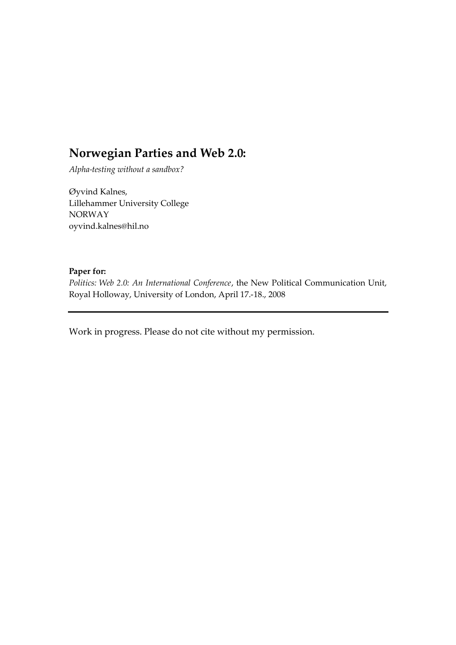# **Norwegian Parties and Web 2.0:**

*Alpha-testing without a sandbox?*

Øyvind Kalnes, Lillehammer University College NORWAY oyvind.kalnes@hil.no

#### **Paper for:**

*Politics: Web 2.0: An International Conference*, the New Political Communication Unit, Royal Holloway, University of London, April 17.-18., 2008

Work in progress. Please do not cite without my permission.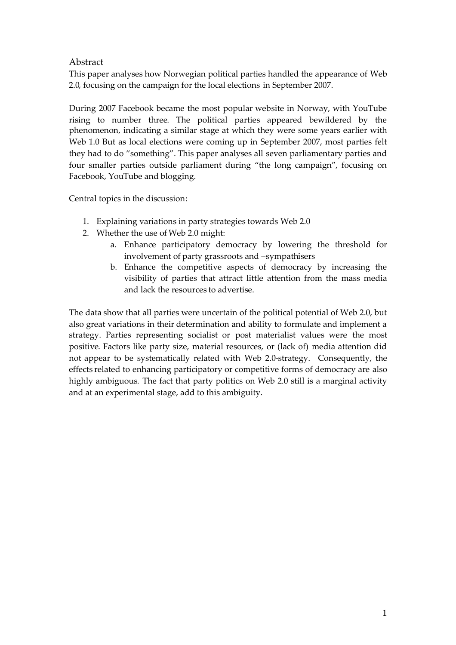### **Abstract**

This paper analyses how Norwegian political parties handled the appearance of Web 2.0, focusing on the campaign for the local elections in September 2007.

During 2007 Facebook became the most popular website in Norway, with YouTube rising to number three. The political parties appeared bewildered by the phenomenon, indicating a similar stage at which they were some years earlier with Web 1.0 But as local elections were coming up in September 2007, most parties felt they had to do "something". This paper analyses all seven parliamentary parties and four smaller parties outside parliament during "the long campaign", focusing on Facebook, YouTube and blogging.

Central topics in the discussion:

- 1. Explaining variations in party strategies towards Web 2.0
- 2. Whether the use of Web 2.0 might:
	- a. Enhance participatory democracy by lowering the threshold for involvement of party grassroots and –sympathisers
	- b. Enhance the competitive aspects of democracy by increasing the visibility of parties that attract little attention from the mass media and lack the resources to advertise.

The data show that all parties were uncertain of the political potential of Web 2.0, but also great variations in their determination and ability to formulate and implement a strategy. Parties representing socialist or post materialist values were the most positive. Factors like party size, material resources, or (lack of) media attention did not appear to be systematically related with Web 2.0-strategy. Consequently, the effects related to enhancing participatory or competitive forms of democracy are also highly ambiguous. The fact that party politics on Web 2.0 still is a marginal activity and at an experimental stage, add to this ambiguity.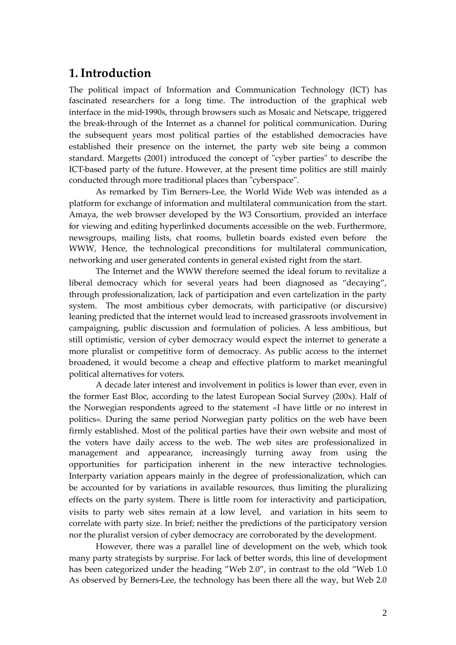### **1.Introduction**

The political impact of Information and Communication Technology (ICT) has fascinated researchers for a long time. The introduction of the graphical web interface in the mid-1990s, through browsers such as Mosaic and Netscape, triggered the break-through of the Internet as a channel for political communication. During the subsequent years most political parties of the established democracies have established their presence on the internet, the party web site being a common standard. Margetts (2001) introduced the concept of "cyber parties" to describe the ICT-based party of the future. However, at the present time politics are still mainly conducted through more traditional places than "cyberspace".

As remarked by Tim Berners-Lee, the World Wide Web was intended as a platform for exchange of information and multilateral communication from the start. Amaya, the web browser developed by the W3 Consortium, provided an interface for viewing and editing hyperlinked documents accessible on the web. Furthermore, newsgroups, mailing lists, chat rooms, bulletin boards existed even before the WWW, Hence, the technological preconditions for multilateral communication, networking and user generated contents in general existed right from the start.

The Internet and the WWW therefore seemed the ideal forum to revitalize a liberal democracy which for several years had been diagnosed as "decaying", through professionalization, lack of participation and even cartelization in the party system. The most ambitious cyber democrats, with participative (or discursive) leaning predicted that the internet would lead to increased grassroots involvement in campaigning, public discussion and formulation of policies. A less ambitious, but still optimistic, version of cyber democracy would expect the internet to generate a more pluralist or competitive form of democracy. As public access to the internet broadened, it would become a cheap and effective platform to market meaningful political alternatives for voters.

A decade later interest and involvement in politics is lower than ever, even in the former East Bloc, according to the latest European Social Survey (200x). Half of the Norwegian respondents agreed to the statement «I have little or no interest in politics». During the same period Norwegian party politics on the web have been firmly established. Most of the political parties have their own website and most of the voters have daily access to the web. The web sites are professionalized in management and appearance, increasingly turning away from using the opportunities for participation inherent in the new interactive technologies. Interparty variation appears mainly in the degree of professionalization, which can be accounted for by variations in available resources, thus limiting the pluralizing effects on the party system. There is little room for interactivity and participation, visits to party web sites remain at a low level, and variation in hits seem to correlate with party size. In brief; neither the predictions of the participatory version nor the pluralist version of cyber democracy are corroborated by the development.

However, there was a parallel line of development on the web, which took many party strategists by surprise. For lack of better words, this line of development has been categorized under the heading "Web 2.0", in contrast to the old "Web 1.0 As observed by Berners-Lee, the technology has been there all the way, but Web 2.0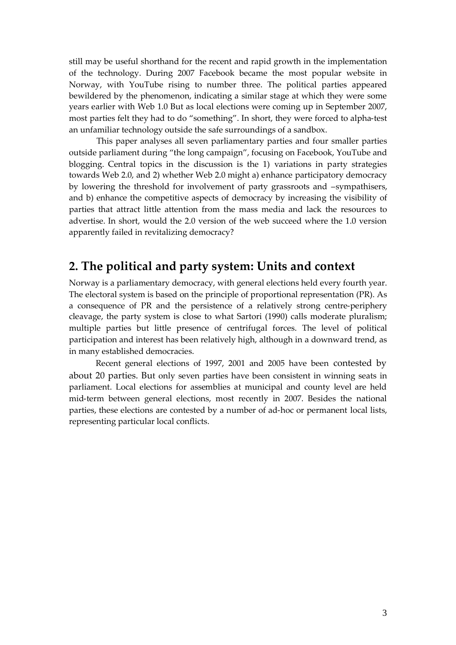still may be useful shorthand for the recent and rapid growth in the implementation of the technology. During 2007 Facebook became the most popular website in Norway, with YouTube rising to number three. The political parties appeared bewildered by the phenomenon, indicating a similar stage at which they were some years earlier with Web 1.0 But as local elections were coming up in September 2007, most parties felt they had to do "something". In short, they were forced to alpha-test an unfamiliar technology outside the safe surroundings of a sandbox.

This paper analyses all seven parliamentary parties and four smaller parties outside parliament during "the long campaign", focusing on Facebook, YouTube and blogging. Central topics in the discussion is the 1) variations in party strategies towards Web 2.0, and 2) whether Web 2.0 might a) enhance participatory democracy by lowering the threshold for involvement of party grassroots and –sympathisers, and b) enhance the competitive aspects of democracy by increasing the visibility of parties that attract little attention from the mass media and lack the resources to advertise. In short, would the 2.0 version of the web succeed where the 1.0 version apparently failed in revitalizing democracy?

## **2. The political and party system: Units and context**

Norway is a parliamentary democracy, with general elections held every fourth year. The electoral system is based on the principle of proportional representation (PR). As a consequence of PR and the persistence of a relatively strong centre-periphery cleavage, the party system is close to what Sartori (1990) calls moderate pluralism; multiple parties but little presence of centrifugal forces. The level of political participation and interest has been relatively high, although in a downward trend, as in many established democracies.

Recent general elections of 1997, 2001 and 2005 have been contested by about 20 parties. But only seven parties have been consistent in winning seats in parliament. Local elections for assemblies at municipal and county level are held mid-term between general elections, most recently in 2007. Besides the national parties, these elections are contested by a number of ad-hoc or permanent local lists, representing particular local conflicts.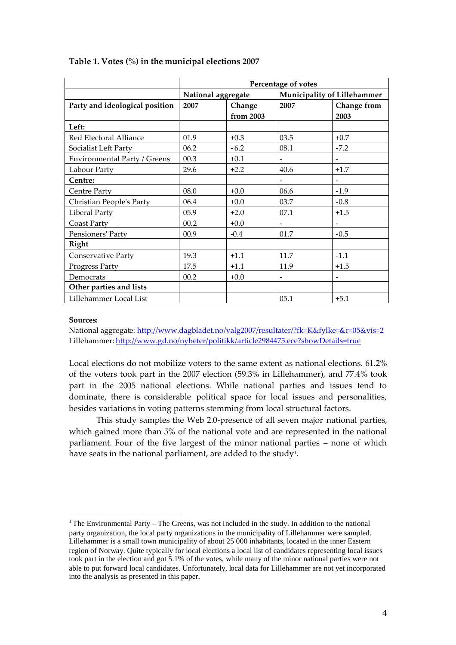|                                | Percentage of votes |           |                             |                          |
|--------------------------------|---------------------|-----------|-----------------------------|--------------------------|
|                                | National aggregate  |           | Municipality of Lillehammer |                          |
| Party and ideological position | 2007                | Change    | 2007                        | Change from              |
|                                |                     | from 2003 |                             | 2003                     |
| Left:                          |                     |           |                             |                          |
| Red Electoral Alliance         | 01.9                | $+0.3$    | 03.5                        | $+0.7$                   |
| Socialist Left Party           | 06.2                | $-6.2$    | 08.1                        | $-7.2$                   |
| Environmental Party / Greens   | 00.3                | $+0.1$    | $\blacksquare$              | $\overline{\phantom{a}}$ |
| Labour Party                   | 29.6                | $+2.2$    | 40.6                        | $+1.7$                   |
| Centre:                        |                     |           | $\overline{\phantom{a}}$    | $\overline{\phantom{a}}$ |
| Centre Party                   | 08.0                | $+0.0$    | 06.6                        | $-1.9$                   |
| Christian People's Party       | 06.4                | $+0.0$    | 03.7                        | $-0.8$                   |
| Liberal Party                  | 05.9                | $+2.0$    | 07.1                        | $+1.5$                   |
| Coast Party                    | 00.2                | $+0.0$    | $\blacksquare$              | $\overline{\phantom{0}}$ |
| Pensioners' Party              | 00.9                | $-0.4$    | 01.7                        | $-0.5$                   |
| Right                          |                     |           |                             |                          |
| <b>Conservative Party</b>      | 19.3                | $+1.1$    | 11.7                        | $-1.1$                   |
| Progress Party                 | 17.5                | $+1.1$    | 11.9                        | $+1.5$                   |
| Democrats                      | 00.2                | $+0.0$    | $\overline{\phantom{a}}$    | $\overline{\phantom{a}}$ |
| Other parties and lists        |                     |           |                             |                          |
| Lillehammer Local List         |                     |           | 05.1                        | $+5.1$                   |

#### **Table 1. Votes (%) in the municipal elections 2007**

#### **Sources:**

National aggregate: http://www.dagbladet.no/valg2007/resultater/?fk=K&fylke=&r=05&vis=2 Lillehammer: http://www.gd.no/nyheter/politikk/article2984475.ece?showDetails=true

Local elections do not mobilize voters to the same extent as national elections. 61.2% of the voters took part in the 2007 election (59.3% in Lillehammer), and 77.4% took part in the 2005 national elections. While national parties and issues tend to dominate, there is considerable political space for local issues and personalities, besides variations in voting patterns stemming from local structural factors.

This study samples the Web 2.0-presence of all seven major national parties, which gained more than 5% of the national vote and are represented in the national parliament. Four of the five largest of the minor national parties – none of which have seats in the national parliament, are added to the study<sup>1</sup>.

<sup>&</sup>lt;sup>1</sup> The Environmental Party – The Greens, was not included in the study. In addition to the national party organization, the local party organizations in the municipality of Lillehammer were sampled. Lillehammer is a small town municipality of about 25 000 inhabitants, located in the inner Eastern region of Norway. Quite typically for local elections a local list of candidates representing local issues took part in the election and got 5.1% of the votes, while many of the minor national parties were not able to put forward local candidates. Unfortunately, local data for Lillehammer are not yet incorporated into the analysis as presented in this paper.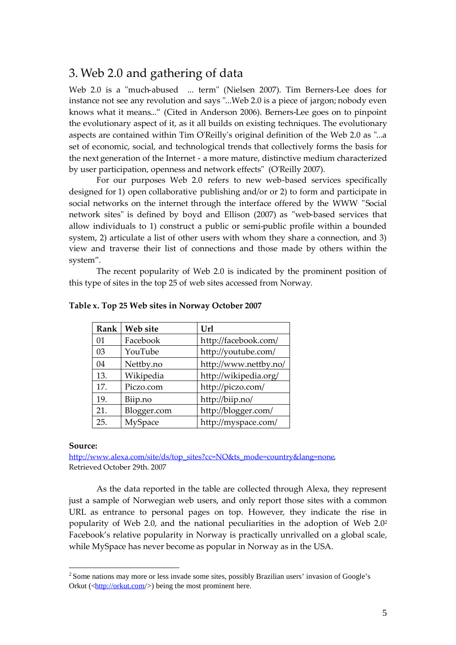## 3. Web 2.0 and gathering of data

Web 2.0 is a "much-abused ... term" (Nielsen 2007). Tim Berners-Lee does for instance not see any revolution and says "...Web 2.0 is a piece of jargon; nobody even knows what it means..." (Cited in Anderson 2006). Berners-Lee goes on to pinpoint the evolutionary aspect of it, as it all builds on existing techniques. The evolutionary aspects are contained within Tim O'Reilly's original definition of the Web 2.0 as "...a set of economic, social, and technological trends that collectively forms the basis for the next generation of the Internet - a more mature, distinctive medium characterized by user participation, openness and network effects" (O'Reilly 2007).

For our purposes Web 2.0 refers to new web-based services specifically designed for 1) open collaborative publishing and/or or 2) to form and participate in social networks on the internet through the interface offered by the WWW. "Social network sites" is defined by boyd and Ellison (2007) as "web-based services that allow individuals to 1) construct a public or semi-public profile within a bounded system, 2) articulate a list of other users with whom they share a connection, and 3) view and traverse their list of connections and those made by others within the system".

The recent popularity of Web 2.0 is indicated by the prominent position of this type of sites in the top 25 of web sites accessed from Norway.

| Rank       | Web site    | Url                   |
|------------|-------------|-----------------------|
| $\Omega$ 1 | Facebook    | http://facebook.com/  |
| 03         | YouTube     | http://youtube.com/   |
| 04         | Nettby.no   | http://www.nettby.no/ |
| 13.        | Wikipedia   | http://wikipedia.org/ |
| 17.        | Piczo.com   | http://piczo.com/     |
| 19.        | Biip.no     | http://biip.no/       |
| 21.        | Blogger.com | http://blogger.com/   |
| 25.        | MySpace     | http://myspace.com/   |

#### **Table x. Top 25 Web sites in Norway October 2007**

#### **Source:**

http://www.alexa.com/site/ds/top\_sites?cc=NO&ts\_mode=country&lang=none, Retrieved October 29th. 2007

As the data reported in the table are collected through Alexa, they represent just a sample of Norwegian web users, and only report those sites with a common URL as entrance to personal pages on top. However, they indicate the rise in popularity of Web 2.0, and the national peculiarities in the adoption of Web 2.0<sup>2</sup> Facebook's relative popularity in Norway is practically unrivalled on a global scale, while MySpace has never become as popular in Norway as in the USA.

<sup>2</sup> Some nations may more or less invade some sites, possibly Brazilian users' invasion of Google's Orkut ( $\langle \frac{http://orkut.com/}{\rangle}$ ) being the most prominent here.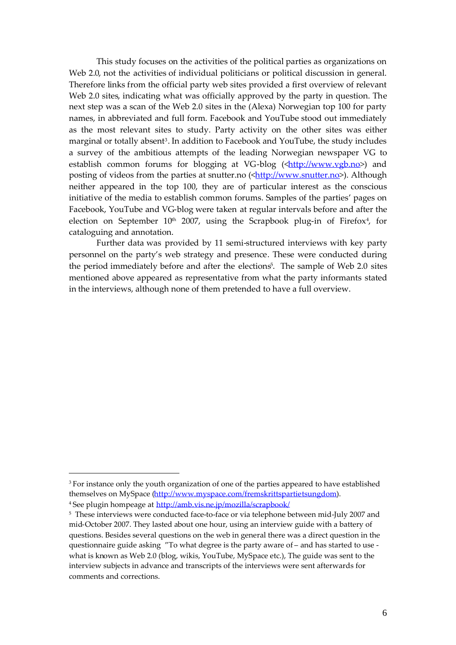This study focuses on the activities of the political parties as organizations on Web 2.0, not the activities of individual politicians or political discussion in general. Therefore links from the official party web sites provided a first overview of relevant Web 2.0 sites, indicating what was officially approved by the party in question. The next step was a scan of the Web 2.0 sites in the (Alexa) Norwegian top 100 for party names, in abbreviated and full form. Facebook and YouTube stood out immediately as the most relevant sites to study. Party activity on the other sites was either marginal or totally absent<sup>3</sup>. In addition to Facebook and YouTube*,* the study includes a survey of the ambitious attempts of the leading Norwegian newspaper VG to establish common forums for blogging at VG-blog  $(\langle \frac{http://www.vgb.no>}{http://www.vgb.no>})$  and posting of videos from the parties at snutter.no (<http://www.snutter.no>). Although neither appeared in the top 100, they are of particular interest as the conscious initiative of the media to establish common forums. Samples of the parties' pages on Facebook, YouTube and VG-blog were taken at regular intervals before and after the election on September  $10<sup>th</sup>$  2007, using the Scrapbook plug-in of Firefox<sup>4</sup>, for cataloguing and annotation.

Further data was provided by 11 semi-structured interviews with key party personnel on the party's web strategy and presence. These were conducted during the period immediately before and after the elections<sup>5</sup>. The sample of Web 2.0 sites mentioned above appeared as representative from what the party informants stated in the interviews, although none of them pretended to have a full overview.

<sup>&</sup>lt;sup>3</sup> For instance only the youth organization of one of the parties appeared to have established themselves on MySpace (http://www.myspace.com/fremskrittspartietsungdom). <sup>4</sup> See plugin hompeage at http://amb.vis.ne.jp/mozilla/scrapbook/

<sup>&</sup>lt;sup>5</sup> These interviews were conducted face-to-face or via telephone between mid-July 2007 and mid-October 2007. They lasted about one hour, using an interview guide with a battery of questions. Besides several questions on the web in general there was a direct question in the questionnaire guide asking "To what degree is the party aware of – and has started to use what is known as Web 2.0 (blog, wikis, YouTube, MySpace etc.), The guide was sent to the interview subjects in advance and transcripts of the interviews were sent afterwards for comments and corrections.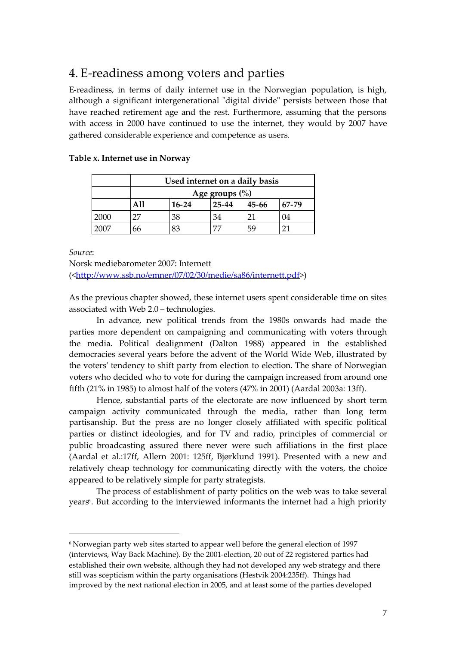# 4. E-readiness among voters and parties

E-readiness, in terms of daily internet use in the Norwegian population, is high, although a significant intergenerational "digital divide" persists between those that have reached retirement age and the rest. Furthermore, assuming that the persons with access in 2000 have continued to use the internet, they would by 2007 have gathered considerable experience and competence as users.

|      | Used internet on a daily basis |         |       |       |           |
|------|--------------------------------|---------|-------|-------|-----------|
|      | Age groups $\left(\% \right)$  |         |       |       |           |
|      |                                | $16-24$ | 25-44 | 45-66 | $67 - 79$ |
| 2000 | דר                             | 38      | 34    |       | 04        |
| 2007 | 66                             | 83      |       | 59    | ን1        |

#### **Table x. Internet use in Norway**

*Source*:

Norsk mediebarometer 2007: Internett (<http://www.ssb.no/emner/07/02/30/medie/sa86/internett.pdf>)

As the previous chapter showed, these internet users spent considerable time on sites associated with Web 2.0 – technologies.

In advance, new political trends from the 1980s onwards had made the parties more dependent on campaigning and communicating with voters through the media. Political dealignment (Dalton 1988) appeared in the established democracies several years before the advent of the World Wide Web, illustrated by the voters' tendency to shift party from election to election. The share of Norwegian voters who decided who to vote for during the campaign increased from around one fifth (21% in 1985) to almost half of the voters (47% in 2001) (Aardal 2003a: 13ff).

Hence, substantial parts of the electorate are now influenced by short term campaign activity communicated through the media, rather than long term partisanship. But the press are no longer closely affiliated with specific political parties or distinct ideologies, and for TV and radio, principles of commercial or public broadcasting assured there never were such affiliations in the first place (Aardal et al.:17ff, Allern 2001: 125ff, Bjørklund 1991). Presented with a new and relatively cheap technology for communicating directly with the voters, the choice appeared to be relatively simple for party strategists.

The process of establishment of party politics on the web was to take several years<sup>6</sup>. But according to the interviewed informants the internet had a high priority

<sup>6</sup> Norwegian party web sites started to appear well before the general election of 1997 (interviews, Way Back Machine). By the 2001-election, 20 out of 22 registered parties had established their own website, although they had not developed any web strategy and there still was scepticism within the party organisations (Hestvik 2004:235ff). Things had improved by the next national election in 2005, and at least some of the parties developed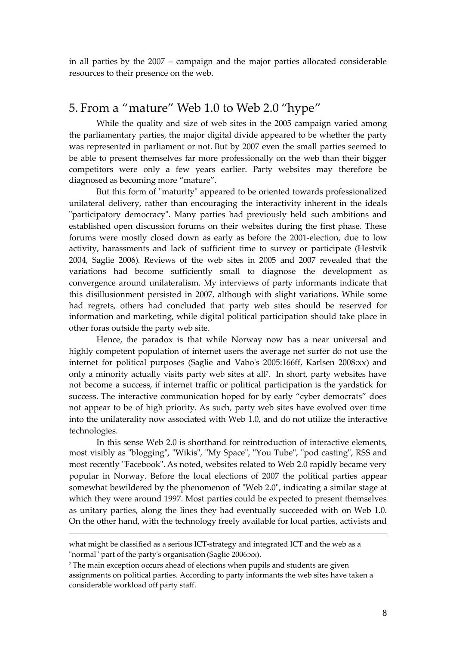in all parties by the 2007 – campaign and the major parties allocated considerable resources to their presence on the web.

### 5. From a "mature" Web 1.0 to Web 2.0 "hype"

While the quality and size of web sites in the 2005 campaign varied among the parliamentary parties, the major digital divide appeared to be whether the party was represented in parliament or not. But by 2007 even the small parties seemed to be able to present themselves far more professionally on the web than their bigger competitors were only a few years earlier. Party websites may therefore be diagnosed as becoming more "mature".

But this form of "maturity" appeared to be oriented towards professionalized unilateral delivery, rather than encouraging the interactivity inherent in the ideals "participatory democracy". Many parties had previously held such ambitions and established open discussion forums on their websites during the first phase. These forums were mostly closed down as early as before the 2001-election, due to low activity, harassments and lack of sufficient time to survey or participate (Hestvik 2004, Saglie 2006). Reviews of the web sites in 2005 and 2007 revealed that the variations had become sufficiently small to diagnose the development as convergence around unilateralism. My interviews of party informants indicate that this disillusionment persisted in 2007, although with slight variations. While some had regrets, others had concluded that party web sites should be reserved for information and marketing, while digital political participation should take place in other foras outside the party web site.

Hence, the paradox is that while Norway now has a near universal and highly competent population of internet users the average net surfer do not use the internet for political purposes (Saglie and Vabo's 2005:166ff, Karlsen 2008:xx) and only a minority actually visits party web sites at all<sup>7</sup> . In short, party websites have not become a success, if internet traffic or political participation is the yardstick for success. The interactive communication hoped for by early "cyber democrats" does not appear to be of high priority. As such, party web sites have evolved over time into the unilaterality now associated with Web 1.0, and do not utilize the interactive technologies.

In this sense Web 2.0 is shorthand for reintroduction of interactive elements, most visibly as "blogging", "Wikis", "My Space", "You Tube", "pod casting", RSS and most recently "Facebook". As noted, websites related to Web 2.0 rapidly became very popular in Norway. Before the local elections of 2007 the political parties appear somewhat bewildered by the phenomenon of "Web 2.0", indicating a similar stage at which they were around 1997. Most parties could be expected to present themselves as unitary parties, along the lines they had eventually succeeded with on Web 1.0. On the other hand, with the technology freely available for local parties, activists and

what might be classified as a serious ICT-strategy and integrated ICT and the web as a "normal" part of the party's organisation (Saglie 2006:xx).

<sup>7</sup> The main exception occurs ahead of elections when pupils and students are given assignments on political parties. According to party informants the web sites have taken a considerable workload off party staff.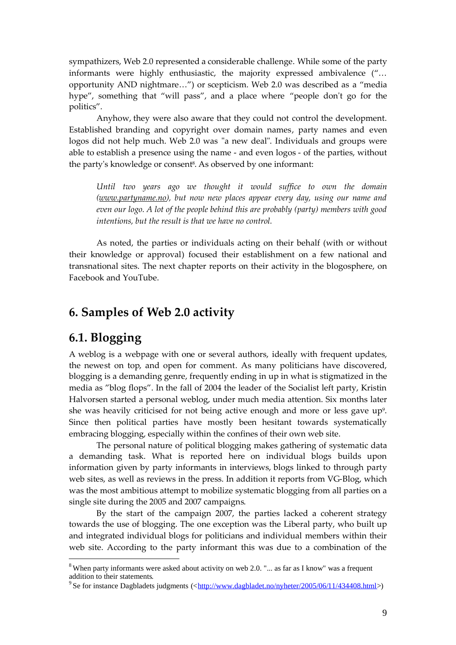sympathizers, Web 2.0 represented a considerable challenge. While some of the party informants were highly enthusiastic, the majority expressed ambivalence ("… opportunity AND nightmare…") or scepticism. Web 2.0 was described as a "media hype", something that "will pass", and a place where "people don't go for the politics".

Anyhow, they were also aware that they could not control the development. Established branding and copyright over domain names, party names and even logos did not help much. Web 2.0 was "a new deal". Individuals and groups were able to establish a presence using the name - and even logos - of the parties, without the party's knowledge or consent<sup>8</sup>. As observed by one informant:

*Until two years ago we thought it would suffice to own the domain (www.partyname.no), but now new places appear every day, using our name and even our logo. A lot of the people behind this are probably (party) members with good intentions, but the result is that we have no control.*

As noted, the parties or individuals acting on their behalf (with or without their knowledge or approval) focused their establishment on a few national and transnational sites. The next chapter reports on their activity in the blogosphere, on Facebook and YouTube.

### **6. Samples of Web 2.0 activity**

### **6.1. Blogging**

A weblog is a webpage with one or several authors, ideally with frequent updates, the newest on top, and open for comment. As many politicians have discovered, blogging is a demanding genre, frequently ending in up in what is stigmatized in the media as "blog flops". In the fall of 2004 the leader of the Socialist left party, Kristin Halvorsen started a personal weblog, under much media attention. Six months later she was heavily criticised for not being active enough and more or less gave up<sup>9</sup>. Since then political parties have mostly been hesitant towards systematically embracing blogging, especially within the confines of their own web site.

The personal nature of political blogging makes gathering of systematic data a demanding task. What is reported here on individual blogs builds upon information given by party informants in interviews, blogs linked to through party web sites, as well as reviews in the press. In addition it reports from VG-Blog, which was the most ambitious attempt to mobilize systematic blogging from all parties on a single site during the 2005 and 2007 campaigns.

By the start of the campaign 2007, the parties lacked a coherent strategy towards the use of blogging. The one exception was the Liberal party, who built up and integrated individual blogs for politicians and individual members within their web site. According to the party informant this was due to a combination of the

<sup>&</sup>lt;sup>8</sup> When party informants were asked about activity on web 2.0. "... as far as I know" was a frequent addition to their statements.

<sup>&</sup>lt;sup>9</sup> Se for instance Dagbladets judgments (<http://www.dagbladet.no/nyheter/2005/06/11/434408.html>)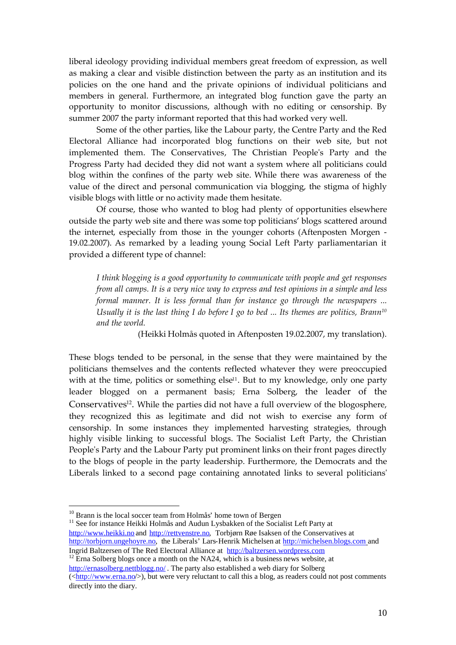liberal ideology providing individual members great freedom of expression, as well as making a clear and visible distinction between the party as an institution and its policies on the one hand and the private opinions of individual politicians and members in general. Furthermore, an integrated blog function gave the party an opportunity to monitor discussions, although with no editing or censorship. By summer 2007 the party informant reported that this had worked very well.

Some of the other parties, like the Labour party, the Centre Party and the Red Electoral Alliance had incorporated blog functions on their web site, but not implemented them. The Conservatives, The Christian People's Party and the Progress Party had decided they did not want a system where all politicians could blog within the confines of the party web site. While there was awareness of the value of the direct and personal communication via blogging, the stigma of highly visible blogs with little or no activity made them hesitate.

Of course, those who wanted to blog had plenty of opportunities elsewhere outside the party web site and there was some top politicians' blogs scattered around the internet, especially from those in the younger cohorts (Aftenposten Morgen - 19.02.2007). As remarked by a leading young Social Left Party parliamentarian it provided a different type of channel:

*I think blogging is a good opportunity to communicate with people and get responses from all camps. It is a very nice way to express and test opinions in a simple and less formal manner. It is less formal than for instance go through the newspapers ... Usually it is the last thing I do before I go to bed ... Its themes are politics, Brann<sup>10</sup> and the world.*

(Heikki Holmås quoted in Aftenposten 19.02.2007, my translation).

These blogs tended to be personal, in the sense that they were maintained by the politicians themselves and the contents reflected whatever they were preoccupied with at the time, politics or something else<sup>11</sup>. But to my knowledge, only one party leader blogged on a permanent basis; Erna Solberg, the leader of the Conservatives<sup>12</sup>. While the parties did not have a full overview of the blogosphere, they recognized this as legitimate and did not wish to exercise any form of censorship. In some instances they implemented harvesting strategies, through highly visible linking to successful blogs. The Socialist Left Party, the Christian People's Party and the Labour Party put prominent links on their front pages directly to the blogs of people in the party leadership. Furthermore, the Democrats and the Liberals linked to a second page containing annotated links to several politicians'

<sup>12</sup> Erna Solberg blogs once a month on the NA24, which is a business news website, at http://ernasolberg.nettblogg.no/. The party also established a web diary for Solberg (<http://www.erna.no/>), but were very reluctant to call this a blog, as readers could not post comments directly into the diary.

<sup>&</sup>lt;sup>10</sup> Brann is the local soccer team from Holmås' home town of Bergen

<sup>&</sup>lt;sup>11</sup> See for instance Heikki Holmås and Audun Lysbakken of the Socialist Left Party at http://www.heikki.no and http://rettvenstre.no, Torbjørn Røe Isaksen of the Conservatives at http://torbjorn.ungehoyre.no, the Liberals' Lars-Henrik Michelsen at http://michelsen.blogs.com and Ingrid Baltzersen of The Red Electoral Alliance at http://baltzersen.wordpress.com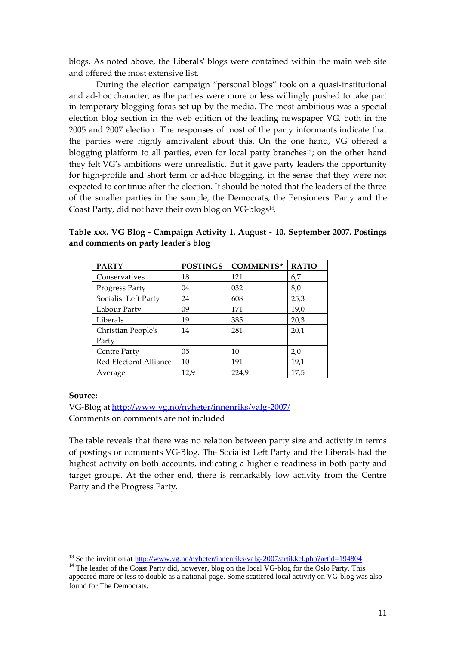blogs. As noted above, the Liberals' blogs were contained within the main web site and offered the most extensive list.

During the election campaign "personal blogs" took on a quasi-institutional and ad-hoc character, as the parties were more or less willingly pushed to take part in temporary blogging foras set up by the media. The most ambitious was a special election blog section in the web edition of the leading newspaper VG, both in the 2005 and 2007 election. The responses of most of the party informants indicate that the parties were highly ambivalent about this. On the one hand, VG offered a blogging platform to all parties, even for local party branches<sup>13</sup>; on the other hand they felt VG's ambitions were unrealistic. But it gave party leaders the opportunity for high-profile and short term or ad-hoc blogging, in the sense that they were not expected to continue after the election. It should be noted that the leaders of the three of the smaller parties in the sample, the Democrats, the Pensioners' Party and the Coast Party, did not have their own blog on VG-blogs<sup>14</sup>.

| <b>PARTY</b>           | <b>POSTINGS</b> | <b>COMMENTS*</b> | <b>RATIO</b> |
|------------------------|-----------------|------------------|--------------|
| Conservatives          | 18              | 121              | 6,7          |
| Progress Party         | 04              | 032              | 8,0          |
| Socialist Left Party   | 24              | 608              | 25,3         |
| Labour Party           | 09              | 171              | 19,0         |
| Liberals               | 19              | 385              | 20,3         |
| Christian People's     | 14              | 281              | 20,1         |
| Party                  |                 |                  |              |
| Centre Party           | 0 <sub>5</sub>  | 10               | 2,0          |
| Red Electoral Alliance | 10              | 191              | 19,1         |
| Average                | 12,9            | 224,9            | 17,5         |

**Table xxx. VG Blog - Campaign Activity 1. August - 10. September 2007. Postings and comments on party leader's blog**

#### **Source:**

VG-Blog at http://www.vg.no/nyheter/innenriks/valg-2007/ Comments on comments are not included

The table reveals that there was no relation between party size and activity in terms of postings or comments VG-Blog. The Socialist Left Party and the Liberals had the highest activity on both accounts, indicating a higher e-readiness in both party and target groups. At the other end, there is remarkably low activity from the Centre Party and the Progress Party.

<sup>&</sup>lt;sup>13</sup> Se the invitation at http://www.vg.no/nyheter/innenriks/valg-2007/artikkel.php?artid=194804

<sup>&</sup>lt;sup>14</sup> The leader of the Coast Party did, however, blog on the local VG-blog for the Oslo Party. This appeared more or less to double as a national page. Some scattered local activity on VG-blog was also found for The Democrats.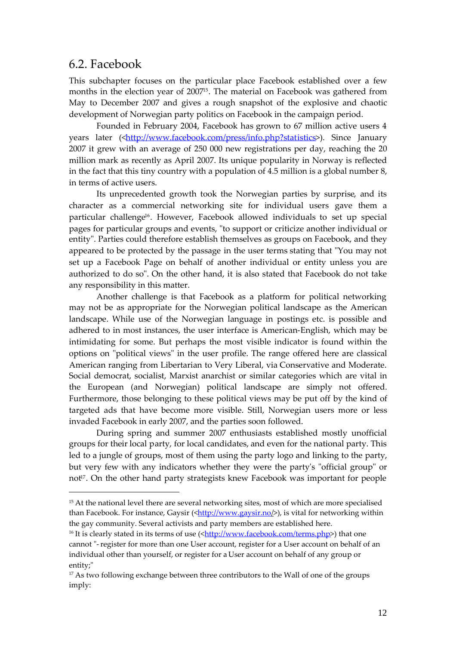### 6.2. Facebook

This subchapter focuses on the particular place Facebook established over a few months in the election year of 200715. The material on Facebook was gathered from May to December 2007 and gives a rough snapshot of the explosive and chaotic development of Norwegian party politics on Facebook in the campaign period.

Founded in February 2004, Facebook has grown to 67 million active users 4 years later (<http://www.facebook.com/press/info.php?statistics>). Since January 2007 it grew with an average of 250 000 new registrations per day, reaching the 20 million mark as recently as April 2007. Its unique popularity in Norway is reflected in the fact that this tiny country with a population of 4.5 million is a global number 8, in terms of active users.

Its unprecedented growth took the Norwegian parties by surprise, and its character as a commercial networking site for individual users gave them a particular challenge16. However, Facebook allowed individuals to set up special pages for particular groups and events, "to support or criticize another individual or entity". Parties could therefore establish themselves as groups on Facebook, and they appeared to be protected by the passage in the user terms stating that "You may not set up a Facebook Page on behalf of another individual or entity unless you are authorized to do so". On the other hand, it is also stated that Facebook do not take any responsibility in this matter.

Another challenge is that Facebook as a platform for political networking may not be as appropriate for the Norwegian political landscape as the American landscape. While use of the Norwegian language in postings etc. is possible and adhered to in most instances, the user interface is American-English, which may be intimidating for some. But perhaps the most visible indicator is found within the options on "political views" in the user profile. The range offered here are classical American ranging from Libertarian to Very Liberal, via Conservative and Moderate. Social democrat, socialist, Marxist anarchist or similar categories which are vital in the European (and Norwegian) political landscape are simply not offered. Furthermore, those belonging to these political views may be put off by the kind of targeted ads that have become more visible. Still, Norwegian users more or less invaded Facebook in early 2007, and the parties soon followed.

During spring and summer 2007 enthusiasts established mostly unofficial groups for their local party, for local candidates, and even for the national party. This led to a jungle of groups, most of them using the party logo and linking to the party, but very few with any indicators whether they were the party's "official group" or not<sup>17</sup>. On the other hand party strategists knew Facebook was important for people

<sup>&</sup>lt;sup>15</sup> At the national level there are several networking sites, most of which are more specialised than Facebook. For instance, Gaysir  $\langle \frac{\text{http://www.gaysir.no/}}{\text{www.gaysir.no/}} \rangle$ , is vital for networking within the gay community. Several activists and party members are established here.

<sup>&</sup>lt;sup>16</sup> It is clearly stated in its terms of use  $\frac{\text{K}}{\text{K}}/(\text{W} \cdot \text{W} \cdot \text{R} \cdot \text{R} \cdot \text{R} \cdot \text{R} \cdot \text{R} \cdot \text{R} \cdot \text{R} \cdot \text{R} \cdot \text{R} \cdot \text{R} \cdot \text{R} \cdot \text{R} \cdot \text{R} \cdot \text{R} \cdot \text{R} \cdot \text{R} \cdot \text{R} \cdot \text{R} \cdot \text{R} \cdot \text{R} \cdot \text{R} \cdot$ cannot "-register for more than one User account, register for a User account on behalf of an individual other than yourself, or register for a User account on behalf of any group or entity;"

<sup>&</sup>lt;sup>17</sup> As two following exchange between three contributors to the Wall of one of the groups imply: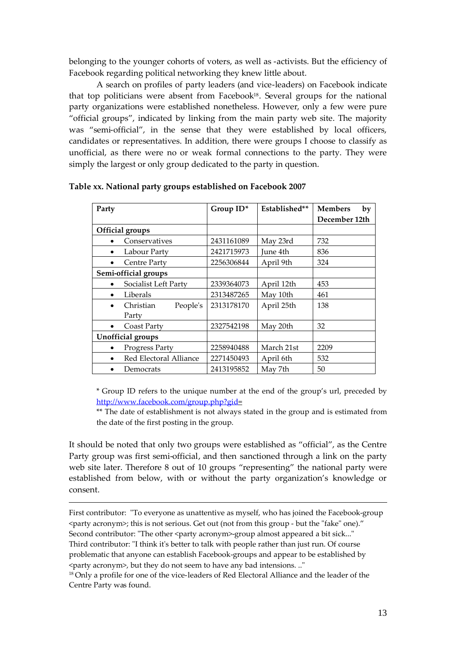belonging to the younger cohorts of voters, as well as -activists. But the efficiency of Facebook regarding political networking they knew little about.

A search on profiles of party leaders (and vice-leaders) on Facebook indicate that top politicians were absent from Facebook<sup>18</sup>. Several groups for the national party organizations were established nonetheless. However, only a few were pure "official groups", indicated by linking from the main party web site. The majority was "semi-official", in the sense that they were established by local officers, candidates or representatives. In addition, there were groups I choose to classify as unofficial, as there were no or weak formal connections to the party. They were simply the largest or only group dedicated to the party in question.

| Party                               | Group ID*  | Established** | <b>Members</b><br>by |
|-------------------------------------|------------|---------------|----------------------|
|                                     |            |               | December 12th        |
| Official groups                     |            |               |                      |
| Conservatives                       | 2431161089 | May 23rd      | 732                  |
| Labour Party<br>$\bullet$           | 2421715973 | June 4th      | 836                  |
| <b>Centre Party</b><br>$\bullet$    | 2256306844 | April 9th     | 324                  |
| Semi-official groups                |            |               |                      |
| Socialist Left Party<br>$\bullet$   | 2339364073 | April 12th    | 453                  |
| Liberals<br>$\bullet$               | 2313487265 | May 10th      | 461                  |
| Christian<br>People's               | 2313178170 | April 25th    | 138                  |
| Party                               |            |               |                      |
| Coast Party<br>$\bullet$            | 2327542198 | May 20th      | 32                   |
| Unofficial groups                   |            |               |                      |
| Progress Party                      | 2258940488 | March 21st    | 2209                 |
| Red Electoral Alliance<br>$\bullet$ | 2271450493 | April 6th     | 532                  |
| Democrats                           | 2413195852 | May 7th       | 50                   |

**Table xx. National party groups established on Facebook 2007**

\* Group ID refers to the unique number at the end of the group's url, preceded by http://www.facebook.com/group.php?gid=

\*\* The date of establishment is not always stated in the group and is estimated from the date of the first posting in the group.

It should be noted that only two groups were established as "official", as the Centre Party group was first semi-official, and then sanctioned through a link on the party web site later. Therefore 8 out of 10 groups "representing" the national party were established from below, with or without the party organization's knowledge or consent.

First contributor: "To everyone as unattentive as myself, who has joined the Facebook-group <party acronym>; this is not serious. Get out (not from this group - but the "fake" one)." Second contributor: "The other <party acronym>-group almost appeared a bit sick..." Third contributor: "I think it's better to talk with people rather than just run. Of course problematic that anyone can establish Facebook-groups and appear to be established by <party acronym>, but they do not seem to have any bad intensions. .."

<sup>18</sup> Only a profile for one of the vice-leaders of Red Electoral Alliance and the leader of the Centre Party was found.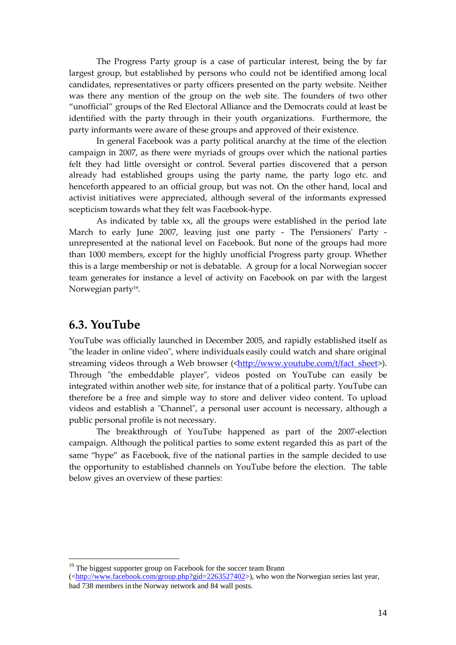The Progress Party group is a case of particular interest, being the by far largest group, but established by persons who could not be identified among local candidates, representatives or party officers presented on the party website. Neither was there any mention of the group on the web site. The founders of two other "unofficial" groups of the Red Electoral Alliance and the Democrats could at least be identified with the party through in their youth organizations. Furthermore, the party informants were aware of these groups and approved of their existence.

In general Facebook was a party political anarchy at the time of the election campaign in 2007, as there were myriads of groups over which the national parties felt they had little oversight or control. Several parties discovered that a person already had established groups using the party name, the party logo etc. and henceforth appeared to an official group, but was not. On the other hand, local and activist initiatives were appreciated, although several of the informants expressed scepticism towards what they felt was Facebook-hype.

As indicated by table xx, all the groups were established in the period late March to early June 2007, leaving just one party - The Pensioners' Party unrepresented at the national level on Facebook. But none of the groups had more than 1000 members, except for the highly unofficial Progress party group. Whether this is a large membership or not is debatable. A group for a local Norwegian soccer team generates for instance a level of activity on Facebook on par with the largest Norwegian party<sup>19</sup>.

### **6.3. YouTube**

YouTube was officially launched in December 2005, and rapidly established itself as "the leader in online video", where individuals easily could watch and share original streaming videos through a Web browser (<http://www.youtube.com/t/fact\_sheet>). Through "the embeddable player", videos posted on YouTube can easily be integrated within another web site, for instance that of a political party. YouTube can therefore be a free and simple way to store and deliver video content. To upload videos and establish a "Channel", a personal user account is necessary, although a public personal profile is not necessary.

The breakthrough of YouTube happened as part of the 2007-election campaign. Although the political parties to some extent regarded this as part of the same "hype" as Facebook, five of the national parties in the sample decided to use the opportunity to established channels on YouTube before the election. The table below gives an overview of these parties:

<sup>&</sup>lt;sup>19</sup> The biggest supporter group on Facebook for the soccer team Brann

<sup>(&</sup>lt;http://www.facebook.com/group.php?gid=2263527402>), who won the Norwegian series last year, had 738 members in the Norway network and 84 wall posts.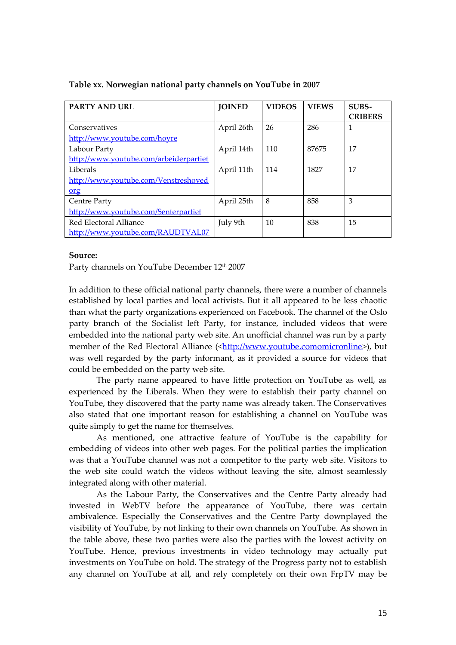| <b>PARTY AND URL</b>                   | <b>JOINED</b> | <b>VIDEOS</b> | <b>VIEWS</b> | SUBS-<br><b>CRIBERS</b> |
|----------------------------------------|---------------|---------------|--------------|-------------------------|
| Conservatives                          | April 26th    | 26            | 286          | 1                       |
| http://www.youtube.com/hovre           |               |               |              |                         |
| Labour Party                           | April 14th    | 110           | 87675        | 17                      |
| http://www.youtube.com/arbeiderpartiet |               |               |              |                         |
| Liberals                               | April 11th    | 114           | 1827         | 17                      |
| http://www.youtube.com/Venstreshoved   |               |               |              |                         |
| org                                    |               |               |              |                         |
| Centre Party                           | April 25th    | 8             | 858          | 3                       |
| http://www.youtube.com/Senterpartiet   |               |               |              |                         |
| Red Electoral Alliance                 | July 9th      | 10            | 838          | 15                      |
| http://www.youtube.com/RAUDTVAL07      |               |               |              |                         |

#### **Table xx. Norwegian national party channels on YouTube in 2007**

#### **Source:**

Party channels on YouTube December 12<sup>th</sup> 2007

In addition to these official national party channels, there were a number of channels established by local parties and local activists. But it all appeared to be less chaotic than what the party organizations experienced on Facebook. The channel of the Oslo party branch of the Socialist left Party, for instance, included videos that were embedded into the national party web site. An unofficial channel was run by a party member of the Red Electoral Alliance (<http://www.youtube.comomicronline>), but was well regarded by the party informant, as it provided a source for videos that could be embedded on the party web site.

The party name appeared to have little protection on YouTube as well, as experienced by the Liberals. When they were to establish their party channel on YouTube, they discovered that the party name was already taken. The Conservatives also stated that one important reason for establishing a channel on YouTube was quite simply to get the name for themselves.

As mentioned, one attractive feature of YouTube is the capability for embedding of videos into other web pages. For the political parties the implication was that a YouTube channel was not a competitor to the party web site. Visitors to the web site could watch the videos without leaving the site, almost seamlessly integrated along with other material.

As the Labour Party, the Conservatives and the Centre Party already had invested in WebTV before the appearance of YouTube, there was certain ambivalence. Especially the Conservatives and the Centre Party downplayed the visibility of YouTube, by not linking to their own channels on YouTube. As shown in the table above, these two parties were also the parties with the lowest activity on YouTube. Hence, previous investments in video technology may actually put investments on YouTube on hold. The strategy of the Progress party not to establish any channel on YouTube at all, and rely completely on their own FrpTV may be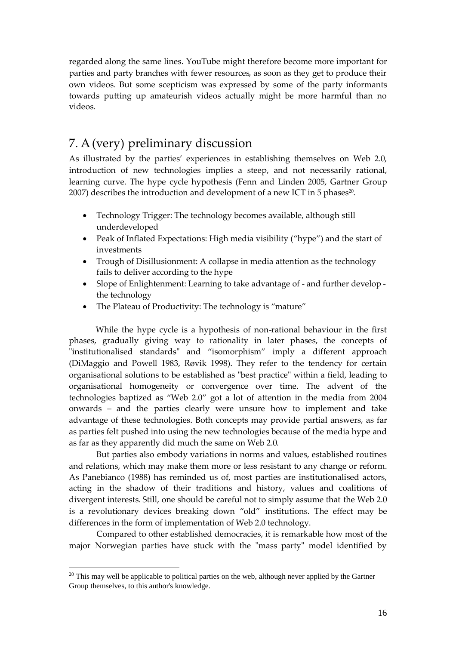regarded along the same lines. YouTube might therefore become more important for parties and party branches with fewer resources, as soon as they get to produce their own videos. But some scepticism was expressed by some of the party informants towards putting up amateurish videos actually might be more harmful than no videos.

## 7. A(very) preliminary discussion

As illustrated by the parties' experiences in establishing themselves on Web 2.0, introduction of new technologies implies a steep, and not necessarily rational, learning curve. The hype cycle hypothesis (Fenn and Linden 2005, Gartner Group 2007) describes the introduction and development of a new ICT in 5 phases $^{20}$ .

- Technology Trigger: The technology becomes available, although still underdeveloped
- Peak of Inflated Expectations: High media visibility ("hype") and the start of investments
- Trough of Disillusionment: A collapse in media attention as the technology fails to deliver according to the hype
- Slope of Enlightenment: Learning to take advantage of and further develop the technology
- The Plateau of Productivity: The technology is "mature"

While the hype cycle is a hypothesis of non-rational behaviour in the first phases, gradually giving way to rationality in later phases, the concepts of "institutionalised standards" and "isomorphism" imply a different approach (DiMaggio and Powell 1983, Røvik 1998). They refer to the tendency for certain organisational solutions to be established as "best practice" within a field, leading to organisational homogeneity or convergence over time. The advent of the technologies baptized as "Web 2.0" got a lot of attention in the media from 2004 onwards – and the parties clearly were unsure how to implement and take advantage of these technologies. Both concepts may provide partial answers, as far as parties felt pushed into using the new technologies because of the media hype and as far as they apparently did much the same on Web 2.0.

But parties also embody variations in norms and values, established routines and relations, which may make them more or less resistant to any change or reform. As Panebianco (1988) has reminded us of, most parties are institutionalised actors, acting in the shadow of their traditions and history, values and coalitions of divergent interests. Still, one should be careful not to simply assume that the Web 2.0 is a revolutionary devices breaking down "old" institutions. The effect may be differences in the form of implementation of Web 2.0 technology.

Compared to other established democracies, it is remarkable how most of the major Norwegian parties have stuck with the "mass party" model identified by

 $20$  This may well be applicable to political parties on the web, although never applied by the Gartner Group themselves, to this author's knowledge.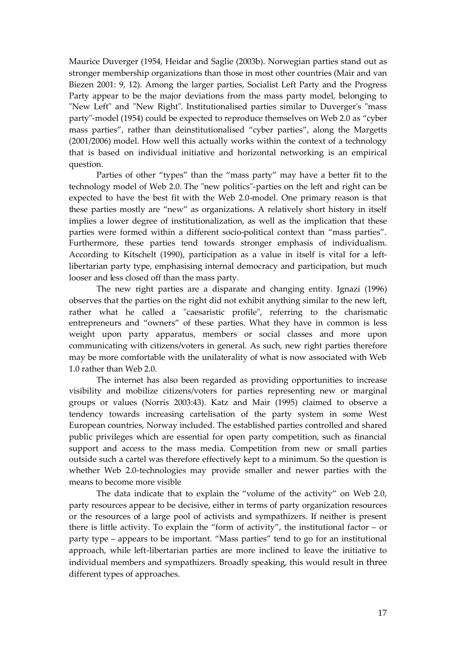Maurice Duverger (1954, Heidar and Saglie (2003b). Norwegian parties stand out as stronger membership organizations than those in most other countries (Mair and van Biezen 2001: 9, 12). Among the larger parties, Socialist Left Party and the Progress Party appear to be the major deviations from the mass party model, belonging to "New Left" and "New Right". Institutionalised parties similar to Duverger's "mass party"-model (1954) could be expected to reproduce themselves on Web 2.0 as "cyber mass parties", rather than deinstitutionalised "cyber parties", along the Margetts (2001/2006) model. How well this actually works within the context of a technology that is based on individual initiative and horizontal networking is an empirical question.

Parties of other "types" than the "mass party" may have a better fit to the technology model of Web 2.0. The "new politics"-parties on the left and right can be expected to have the best fit with the Web 2.0-model. One primary reason is that these parties mostly are "new" as organizations. A relatively short history in itself implies a lower degree of institutionalization, as well as the implication that these parties were formed within a different socio-political context than "mass parties". Furthermore, these parties tend towards stronger emphasis of individualism. According to Kitschelt (1990), participation as a value in itself is vital for a leftlibertarian party type, emphasising internal democracy and participation, but much looser and less closed off than the mass party.

The new right parties are a disparate and changing entity. Ignazi (1996) observes that the parties on the right did not exhibit anything similar to the new left, rather what he called a "caesaristic profile", referring to the charismatic entrepreneurs and "owners" of these parties. What they have in common is less weight upon party apparatus, members or social classes and more upon communicating with citizens/voters in general. As such, new right parties therefore may be more comfortable with the unilaterality of what is now associated with Web 1.0 rather than Web 2.0.

The internet has also been regarded as providing opportunities to increase visibility and mobilize citizens/voters for parties representing new or marginal groups or values (Norris 2003:43). Katz and Mair (1995) claimed to observe a tendency towards increasing cartelisation of the party system in some West European countries, Norway included. The established parties controlled and shared public privileges which are essential for open party competition, such as financial support and access to the mass media. Competition from new or small parties outside such a cartel was therefore effectively kept to a minimum. So the question is whether Web 2.0-technologies may provide smaller and newer parties with the means to become more visible

The data indicate that to explain the "volume of the activity" on Web 2.0, party resources appear to be decisive, either in terms of party organization resources or the resources of a large pool of activists and sympathizers. If neither is present there is little activity. To explain the "form of activity", the institutional factor – or party type – appears to be important. "Mass parties" tend to go for an institutional approach, while left-libertarian parties are more inclined to leave the initiative to individual members and sympathizers. Broadly speaking, this would result in three different types of approaches.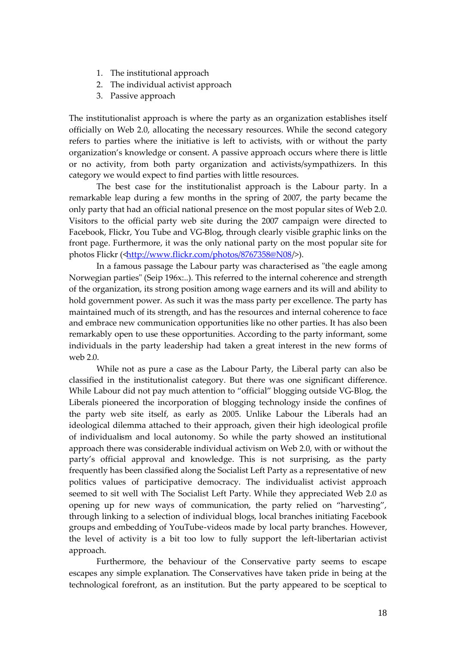- 1. The institutional approach
- 2. The individual activist approach
- 3. Passive approach

The institutionalist approach is where the party as an organization establishes itself officially on Web 2.0, allocating the necessary resources. While the second category refers to parties where the initiative is left to activists, with or without the party organization's knowledge or consent. A passive approach occurs where there is little or no activity, from both party organization and activists/sympathizers. In this category we would expect to find parties with little resources.

The best case for the institutionalist approach is the Labour party. In a remarkable leap during a few months in the spring of 2007, the party became the only party that had an official national presence on the most popular sites of Web 2.0. Visitors to the official party web site during the 2007 campaign were directed to Facebook, Flickr, You Tube and VG-Blog, through clearly visible graphic links on the front page. Furthermore, it was the only national party on the most popular site for photos Flickr (<http://www.flickr.com/photos/8767358@N08/>).

In a famous passage the Labour party was characterised as "the eagle among Norwegian parties" (Seip 196x:..). This referred to the internal coherence and strength of the organization, its strong position among wage earners and its will and ability to hold government power. As such it was the mass party per excellence. The party has maintained much of its strength, and has the resources and internal coherence to face and embrace new communication opportunities like no other parties. It has also been remarkably open to use these opportunities. According to the party informant, some individuals in the party leadership had taken a great interest in the new forms of web 2.0.

While not as pure a case as the Labour Party, the Liberal party can also be classified in the institutionalist category. But there was one significant difference. While Labour did not pay much attention to "official" blogging outside VG-Blog, the Liberals pioneered the incorporation of blogging technology inside the confines of the party web site itself, as early as 2005. Unlike Labour the Liberals had an ideological dilemma attached to their approach, given their high ideological profile of individualism and local autonomy. So while the party showed an institutional approach there was considerable individual activism on Web 2.0, with or without the party's official approval and knowledge. This is not surprising, as the party frequently has been classified along the Socialist Left Party as a representative of new politics values of participative democracy. The individualist activist approach seemed to sit well with The Socialist Left Party. While they appreciated Web 2.0 as opening up for new ways of communication, the party relied on "harvesting", through linking to a selection of individual blogs, local branches initiating Facebook groups and embedding of YouTube-videos made by local party branches. However, the level of activity is a bit too low to fully support the left-libertarian activist approach.

Furthermore, the behaviour of the Conservative party seems to escape escapes any simple explanation. The Conservatives have taken pride in being at the technological forefront, as an institution. But the party appeared to be sceptical to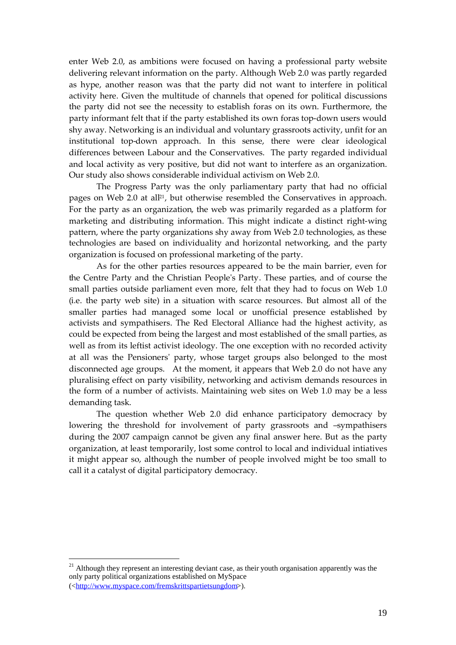enter Web 2.0, as ambitions were focused on having a professional party website delivering relevant information on the party. Although Web 2.0 was partly regarded as hype, another reason was that the party did not want to interfere in political activity here. Given the multitude of channels that opened for political discussions the party did not see the necessity to establish foras on its own. Furthermore, the party informant felt that if the party established its own foras top-down users would shy away. Networking is an individual and voluntary grassroots activity, unfit for an institutional top-down approach. In this sense, there were clear ideological differences between Labour and the Conservatives. The party regarded individual and local activity as very positive, but did not want to interfere as an organization. Our study also shows considerable individual activism on Web 2.0.

The Progress Party was the only parliamentary party that had no official pages on Web 2.0 at all21, but otherwise resembled the Conservatives in approach. For the party as an organization, the web was primarily regarded as a platform for marketing and distributing information. This might indicate a distinct right-wing pattern, where the party organizations shy away from Web 2.0 technologies, as these technologies are based on individuality and horizontal networking, and the party organization is focused on professional marketing of the party.

As for the other parties resources appeared to be the main barrier, even for the Centre Party and the Christian People's Party. These parties, and of course the small parties outside parliament even more, felt that they had to focus on Web 1.0 (i.e. the party web site) in a situation with scarce resources. But almost all of the smaller parties had managed some local or unofficial presence established by activists and sympathisers. The Red Electoral Alliance had the highest activity, as could be expected from being the largest and most established of the small parties, as well as from its leftist activist ideology. The one exception with no recorded activity at all was the Pensioners' party, whose target groups also belonged to the most disconnected age groups. At the moment, it appears that Web 2.0 do not have any pluralising effect on party visibility, networking and activism demands resources in the form of a number of activists. Maintaining web sites on Web 1.0 may be a less demanding task.

The question whether Web 2.0 did enhance participatory democracy by lowering the threshold for involvement of party grassroots and -sympathisers during the 2007 campaign cannot be given any final answer here. But as the party organization, at least temporarily, lost some control to local and individual intiatives it might appear so, although the number of people involved might be too small to call it a catalyst of digital participatory democracy.

<sup>&</sup>lt;sup>21</sup> Although they represent an interesting deviant case, as their youth organisation apparently was the only party political organizations established on MySpace (<http://www.myspace.com/fremskrittspartietsungdom>).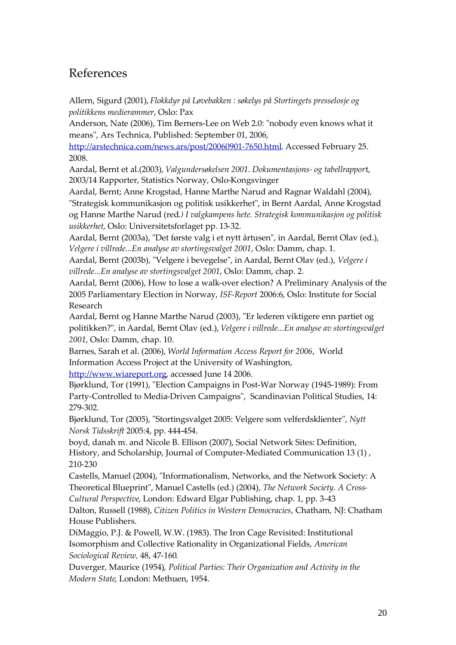### References

Allern, Sigurd (2001), *Flokkdyr på Løvebakken : søkelys på Stortingets presselosje og politikkens medierammer*, Oslo: Pax

Anderson, Nate (2006), Tim Berners-Lee on Web 2.0: "nobody even knows what it means", Ars Technica, Published: September 01, 2006,

http://arstechnica.com/news.ars/post/20060901-7650.html. Accessed February 25. 2008.

Aardal, Bernt et al.(2003), *Valgundersøkelsen 2001. Dokumentasjons- og tabellrappor*t, 2003/14 Rapporter, Statistics Norway, Oslo-Kongsvinger

Aardal, Bernt; Anne Krogstad, Hanne Marthe Narud and Ragnar Waldahl (2004), "Strategisk kommunikasjon og politisk usikkerhet", in Bernt Aardal, Anne Krogstad og Hanne Marthe Narud (red*.) I valgkampens hete. Strategisk kommunikasjon og politisk usikkerhet*, Oslo: Universitetsforlaget pp. 13-32.

Aardal, Bernt (2003a), "Det første valg i et nytt årtusen", in Aardal, Bernt Olav (ed.), *Velgere i villrede...En analyse av stortingsvalget 2001*, Oslo: Damm, chap. 1.

Aardal, Bernt (2003b), "Velgere i bevegelse", in Aardal, Bernt Olav (ed.), *Velgere i villrede...En analyse av stortingsvalget 2001*, Oslo: Damm, chap. 2.

Aardal, Bernt (2006), How to lose a walk-over election? A Preliminary Analysis of the 2005 Parliamentary Election in Norway, *ISF-Report* 2006:6, Oslo: Institute for Social Research

Aardal, Bernt og Hanne Marthe Narud (2003), "Er lederen viktigere enn partiet og politikken?", in Aardal, Bernt Olav (ed.), *Velgere i villrede...En analyse av stortingsvalget 2001*, Oslo: Damm, chap. 10.

Barnes, Sarah et al. (2006), *World Information Access Report for 2006*, World Information Access Project at the University of Washington,

http://www.wiareport.org, accessed June 14 2006.

Bjørklund, Tor (1991), "Election Campaigns in Post-War Norway (1945-1989): From Party-Controlled to Media-Driven Campaigns", Scandinavian Political Studies, 14: 279-302.

Bjørklund, Tor (2005), "Stortingsvalget 2005: Velgere som velferdsklienter", *Nytt Norsk Tidsskrift* 2005:4, pp. 444-454.

boyd, danah m. and Nicole B. Ellison (2007), Social Network Sites: Definition, History, and Scholarship, Journal of Computer-Mediated Communication 13 (1) , 210-230

Castells, Manuel (2004), "Informationalism, Networks, and the Network Society: A Theoretical Blueprint", Manuel Castells (ed.) (2004), *The Network Society. A Cross-*

*Cultural Perspective*, London: Edward Elgar Publishing, chap. 1, pp. 3-43

Dalton, Russell (1988), *Citizen Politics in Western Democracies*, Chatham, NJ: Chatham House Publishers.

DiMaggio, P.J. & Powell, W.W. (1983). The Iron Cage Revisited: Institutional Isomorphism and Collective Rationality in Organizational Fields, *American Sociological Review,* 48, 47-160*.*

Duverger, Maurice (1954), *Political Parties: Their Organization and Activity in the Modern State*, London: Methuen, 1954.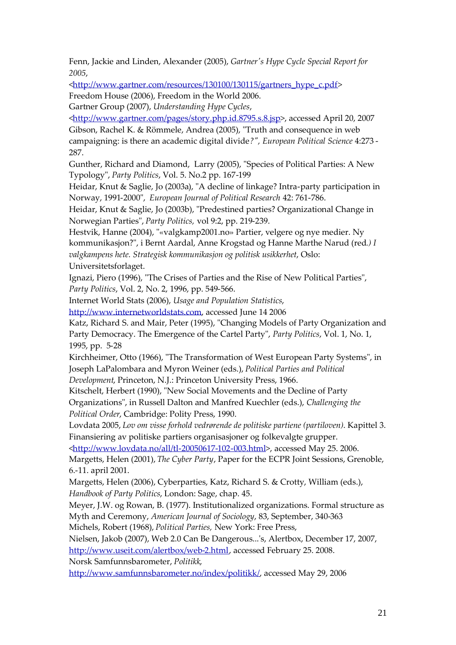Fenn, Jackie and Linden, Alexander (2005), *Gartner's Hype Cycle Special Report for 2005*,

<http://www.gartner.com/resources/130100/130115/gartners\_hype\_c.pdf>

Freedom House (2006), Freedom in the World 2006.

Gartner Group (2007), *Understanding Hype Cycles*,

<http://www.gartner.com/pages/story.php.id.8795.s.8.jsp>, accessed April 20, 2007 Gibson, Rachel K. & Römmele, Andrea (2005), "Truth and consequence in web campaigning: is there an academic digital divide*?", European Political Science* 4:273 - 287.

Gunther, Richard and Diamond, Larry (2005), "Species of Political Parties: A New Typology", *Party Politics*, Vol. 5. No.2 pp. 167-199

Heidar, Knut & Saglie, Jo (2003a), "A decline of linkage? Intra-party participation in Norway, 1991-2000", *European Journal of Political Research* 42: 761-786.

Heidar, Knut & Saglie, Jo (2003b), "Predestined parties? Organizational Change in Norwegian Parties", *Party Politics,* vol 9:2, pp. 219-239.

Hestvik, Hanne (2004), "«valgkamp2001.no» Partier, velgere og nye medier. Ny kommunikasjon?", i Bernt Aardal, Anne Krogstad og Hanne Marthe Narud (red*.) I valgkampens hete. Strategisk kommunikasjon og politisk usikkerhet*, Oslo: Universitetsforlaget.

Ignazi, Piero (1996), "The Crises of Parties and the Rise of New Political Parties", *Party Politics*, Vol. 2, No. 2, 1996, pp. 549-566.

Internet World Stats (2006), *Usage and Population Statistics*,

http://www.internetworldstats.com, accessed June 14 2006

Katz, Richard S. and Mair, Peter (1995), "Changing Models of Party Organization and Party Democracy. The Emergence of the Cartel Party", *Party Politics*, Vol. 1, No. 1, 1995, pp. 5-28

Kirchheimer, Otto (1966), "The Transformation of West European Party Systems", in Joseph LaPalombara and Myron Weiner (eds.), *Political Parties and Political Development*, Princeton, N.J.: Princeton University Press, 1966.

Kitschelt, Herbert (1990), "New Social Movements and the Decline of Party Organizations", in Russell Dalton and Manfred Kuechler (eds.), *Challenging the Political Order*, Cambridge: Polity Press, 1990.

Lovdata 2005, *Lov om visse forhold vedrørende de politiske partiene (partiloven)*. Kapittel 3. Finansiering av politiske partiers organisasjoner og folkevalgte grupper.

<http://www.lovdata.no/all/tl-20050617-102-003.html>, accessed May 25. 2006. Margetts, Helen (2001), *The Cyber Party*, Paper for the ECPR Joint Sessions, Grenoble, 6.-11. april 2001.

Margetts, Helen (2006), Cyberparties, Katz, Richard S. & Crotty, William (eds.), *Handbook of Party Politics*, London: Sage, chap. 45.

Meyer, J.W. og Rowan, B. (1977). Institutionalized organizations. Formal structure as Myth and Ceremony, *American Journal of Sociology*, 83, September, 340-363

Michels, Robert (1968), *Political Parties,* New York: Free Press,

Nielsen, Jakob (2007), Web 2.0 Can Be Dangerous...'s, Alertbox, December 17, 2007, http://www.useit.com/alertbox/web-2.html, accessed February 25. 2008.

Norsk Samfunnsbarometer, *Politikk*,

http://www.samfunnsbarometer.no/index/politikk/, accessed May 29, 2006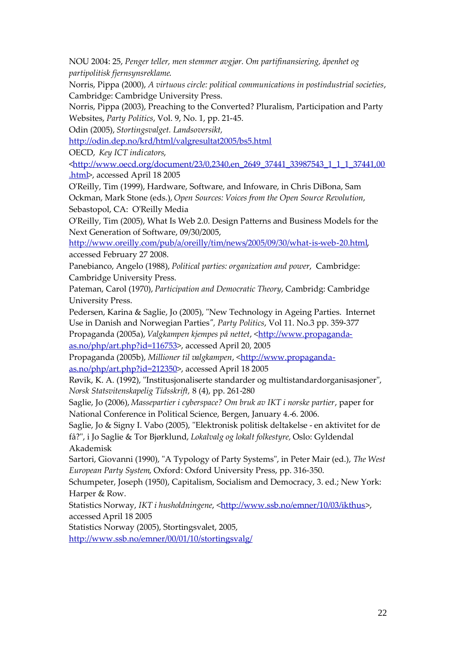NOU 2004: 25, *Penger teller, men stemmer avgjør. Om partifinansiering, åpenhet og partipolitisk fjernsynsreklame*.

Norris, Pippa (2000), *A virtuous circle: political communications in postindustrial societies*, Cambridge: Cambridge University Press.

Norris, Pippa (2003), Preaching to the Converted? Pluralism, Participation and Party Websites, *Party Politics*, Vol. 9, No. 1, pp. 21-45.

Odin (2005), *Stortingsvalget. Landsoversikt,*

http://odin.dep.no/krd/html/valgresultat2005/bs5.html

OECD, *Key ICT indicators*,

<http://www.oecd.org/document/23/0,2340,en\_2649\_37441\_33987543\_1\_1\_1\_37441,00 .html>, accessed April 18 2005

O'Reilly, Tim (1999), Hardware, Software, and Infoware, in Chris DiBona, Sam Ockman, Mark Stone (eds.), *Open Sources: Voices from the Open Source Revolution*, Sebastopol, CA: O'Reilly Media

O'Reilly, Tim (2005), What Is Web 2.0. Design Patterns and Business Models for the Next Generation of Software, 09/30/2005,

http://www.oreilly.com/pub/a/oreilly/tim/news/2005/09/30/what-is-web-20.html, accessed February 27 2008.

Panebianco, Angelo (1988), *Political parties: organization and power*, Cambridge: Cambridge University Press.

Pateman, Carol (1970), *Participation and Democratic Theory*, Cambridg: Cambridge University Press.

Pedersen, Karina & Saglie, Jo (2005), "New Technology in Ageing Parties. Internet Use in Danish and Norwegian Parties*", Party Politics*, Vol 11. No.3 pp. 359-377 Propaganda (2005a), *Valgkampen kjempes på nettet*, <http://www.propagandaas.no/php/art.php?id=116753>, accessed April 20, 2005

Propaganda (2005b), *Millioner til valgkampen*, <http://www.propagandaas.no/php/art.php?id=212350>, accessed April 18 2005

Røvik, K. A. (1992), "Institusjonaliserte standarder og multistandardorganisasjoner", *Norsk Statsvitenskapelig Tidsskrift,* 8 (4), pp. 261-280

Saglie, Jo (2006), *Massepartier i cyberspace? Om bruk av IKT i norske partier*, paper for National Conference in Political Science, Bergen, January 4.-6. 2006.

Saglie, Jo & Signy I. Vabo (2005), "Elektronisk politisk deltakelse - en aktivitet for de få?", i Jo Saglie & Tor Bjørklund, *Lokalvalg og lokalt folkestyre,* Oslo: Gyldendal Akademisk

Sartori, Giovanni (1990), "A Typology of Party Systems", in Peter Mair (ed.), *The West European Party System*, Oxford: Oxford University Press, pp. 316-350.

Schumpeter, Joseph (1950), Capitalism, Socialism and Democracy, 3. ed.; New York: Harper & Row.

Statistics Norway, *IKT i husholdningene*, <http://www.ssb.no/emner/10/03/ikthus>, accessed April 18 2005

Statistics Norway (2005), Stortingsvalet, 2005,

http://www.ssb.no/emner/00/01/10/stortingsvalg/